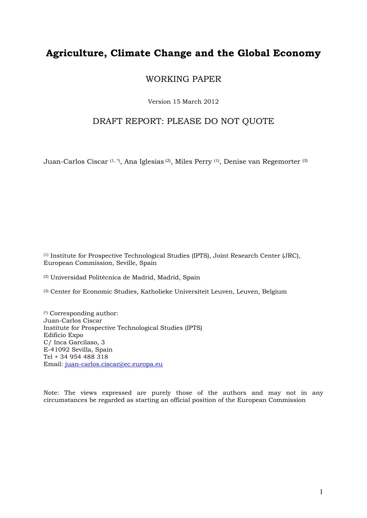# **Agriculture, Climate Change and the Global Economy**

### WORKING PAPER

Version 15 March 2012

### DRAFT REPORT: PLEASE DO NOT QUOTE

Juan-Carlos Ciscar (1, \*), Ana Iglesias (2), Miles Perry (1), Denise van Regemorter (3)

(1) Institute for Prospective Technological Studies (IPTS), Joint Research Center (JRC), European Commission, Seville, Spain

(2) Universidad Politécnica de Madrid, Madrid, Spain

(3) Center for Economic Studies, Katholieke Universiteit Leuven, Leuven, Belgium

(\*) Corresponding author: Juan-Carlos Ciscar Institute for Prospective Technological Studies (IPTS) Edificio Expo C/ Inca Garcilaso, 3 E-41092 Sevilla, Spain Tel + 34 954 488 318 Email: juan-carlos.ciscar@ec.europa.eu

Note: The views expressed are purely those of the authors and may not in any circumstances be regarded as starting an official position of the European Commission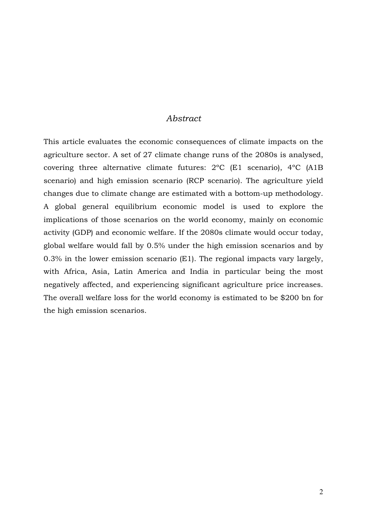#### *Abstract*

This article evaluates the economic consequences of climate impacts on the agriculture sector. A set of 27 climate change runs of the 2080s is analysed, covering three alternative climate futures: 2ºC (E1 scenario), 4ºC (A1B scenario) and high emission scenario (RCP scenario). The agriculture yield changes due to climate change are estimated with a bottom-up methodology. A global general equilibrium economic model is used to explore the implications of those scenarios on the world economy, mainly on economic activity (GDP) and economic welfare. If the 2080s climate would occur today, global welfare would fall by 0.5% under the high emission scenarios and by 0.3% in the lower emission scenario (E1). The regional impacts vary largely, with Africa, Asia, Latin America and India in particular being the most negatively affected, and experiencing significant agriculture price increases. The overall welfare loss for the world economy is estimated to be \$200 bn for the high emission scenarios.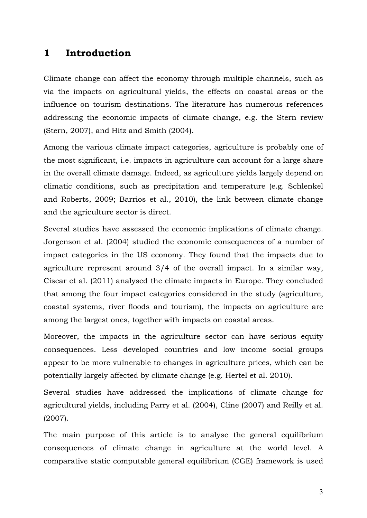## **1 Introduction**

Climate change can affect the economy through multiple channels, such as via the impacts on agricultural yields, the effects on coastal areas or the influence on tourism destinations. The literature has numerous references addressing the economic impacts of climate change, e.g. the Stern review (Stern, 2007), and Hitz and Smith (2004).

Among the various climate impact categories, agriculture is probably one of the most significant, i.e. impacts in agriculture can account for a large share in the overall climate damage. Indeed, as agriculture yields largely depend on climatic conditions, such as precipitation and temperature (e.g. Schlenkel and Roberts, 2009; Barrios et al., 2010), the link between climate change and the agriculture sector is direct.

Several studies have assessed the economic implications of climate change. Jorgenson et al. (2004) studied the economic consequences of a number of impact categories in the US economy. They found that the impacts due to agriculture represent around 3/4 of the overall impact. In a similar way, Ciscar et al. (2011) analysed the climate impacts in Europe. They concluded that among the four impact categories considered in the study (agriculture, coastal systems, river floods and tourism), the impacts on agriculture are among the largest ones, together with impacts on coastal areas.

Moreover, the impacts in the agriculture sector can have serious equity consequences. Less developed countries and low income social groups appear to be more vulnerable to changes in agriculture prices, which can be potentially largely affected by climate change (e.g. Hertel et al. 2010).

Several studies have addressed the implications of climate change for agricultural yields, including Parry et al. (2004), Cline (2007) and Reilly et al. (2007).

The main purpose of this article is to analyse the general equilibrium consequences of climate change in agriculture at the world level. A comparative static computable general equilibrium (CGE) framework is used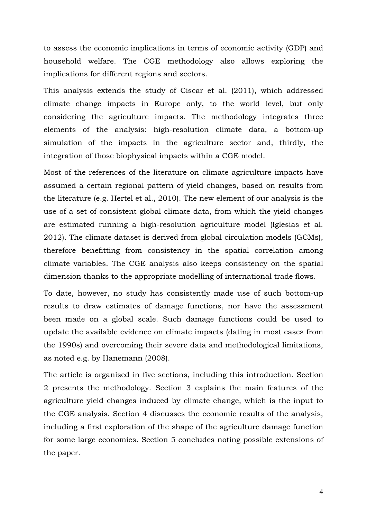to assess the economic implications in terms of economic activity (GDP) and household welfare. The CGE methodology also allows exploring the implications for different regions and sectors.

This analysis extends the study of Ciscar et al. (2011), which addressed climate change impacts in Europe only, to the world level, but only considering the agriculture impacts. The methodology integrates three elements of the analysis: high-resolution climate data, a bottom-up simulation of the impacts in the agriculture sector and, thirdly, the integration of those biophysical impacts within a CGE model.

Most of the references of the literature on climate agriculture impacts have assumed a certain regional pattern of yield changes, based on results from the literature (e.g. Hertel et al., 2010). The new element of our analysis is the use of a set of consistent global climate data, from which the yield changes are estimated running a high-resolution agriculture model (Iglesias et al. 2012). The climate dataset is derived from global circulation models (GCMs), therefore benefitting from consistency in the spatial correlation among climate variables. The CGE analysis also keeps consistency on the spatial dimension thanks to the appropriate modelling of international trade flows.

To date, however, no study has consistently made use of such bottom-up results to draw estimates of damage functions, nor have the assessment been made on a global scale. Such damage functions could be used to update the available evidence on climate impacts (dating in most cases from the 1990s) and overcoming their severe data and methodological limitations, as noted e.g. by Hanemann (2008).

The article is organised in five sections, including this introduction. Section 2 presents the methodology. Section 3 explains the main features of the agriculture yield changes induced by climate change, which is the input to the CGE analysis. Section 4 discusses the economic results of the analysis, including a first exploration of the shape of the agriculture damage function for some large economies. Section 5 concludes noting possible extensions of the paper.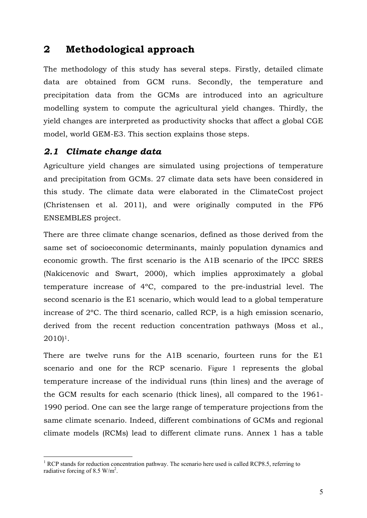# **2 Methodological approach**

The methodology of this study has several steps. Firstly, detailed climate data are obtained from GCM runs. Secondly, the temperature and precipitation data from the GCMs are introduced into an agriculture modelling system to compute the agricultural yield changes. Thirdly, the yield changes are interpreted as productivity shocks that affect a global CGE model, world GEM-E3. This section explains those steps.

### *2.1 Climate change data*

1

Agriculture yield changes are simulated using projections of temperature and precipitation from GCMs. 27 climate data sets have been considered in this study. The climate data were elaborated in the ClimateCost project (Christensen et al. 2011), and were originally computed in the FP6 ENSEMBLES project.

There are three climate change scenarios, defined as those derived from the same set of socioeconomic determinants, mainly population dynamics and economic growth. The first scenario is the A1B scenario of the IPCC SRES (Nakicenovic and Swart, 2000), which implies approximately a global temperature increase of 4ºC, compared to the pre-industrial level. The second scenario is the E1 scenario, which would lead to a global temperature increase of 2ºC. The third scenario, called RCP, is a high emission scenario, derived from the recent reduction concentration pathways (Moss et al., 2010)1.

There are twelve runs for the A1B scenario, fourteen runs for the E1 scenario and one for the RCP scenario. Figure 1 represents the global temperature increase of the individual runs (thin lines) and the average of the GCM results for each scenario (thick lines), all compared to the 1961- 1990 period. One can see the large range of temperature projections from the same climate scenario. Indeed, different combinations of GCMs and regional climate models (RCMs) lead to different climate runs. Annex 1 has a table

<sup>&</sup>lt;sup>1</sup> RCP stands for reduction concentration pathway. The scenario here used is called RCP8.5, referring to radiative forcing of 8.5  $W/m^2$ .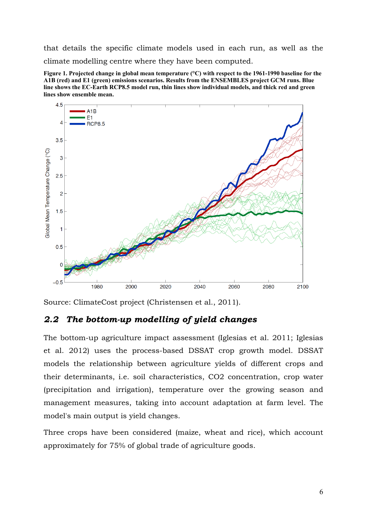that details the specific climate models used in each run, as well as the climate modelling centre where they have been computed.

**Figure 1. Projected change in global mean temperature (°C) with respect to the 1961-1990 baseline for the A1B (red) and E1 (green) emissions scenarios. Results from the ENSEMBLES project GCM runs. Blue line shows the EC-Earth RCP8.5 model run, thin lines show individual models, and thick red and green lines show ensemble mean.**



Source: ClimateCost project (Christensen et al., 2011).

## *2.2 The bottom-up modelling of yield changes*

The bottom-up agriculture impact assessment (Iglesias et al. 2011; Iglesias et al. 2012) uses the process-based DSSAT crop growth model. DSSAT models the relationship between agriculture yields of different crops and their determinants, i.e. soil characteristics, CO2 concentration, crop water (precipitation and irrigation), temperature over the growing season and management measures, taking into account adaptation at farm level. The model's main output is yield changes.

Three crops have been considered (maize, wheat and rice), which account approximately for 75% of global trade of agriculture goods.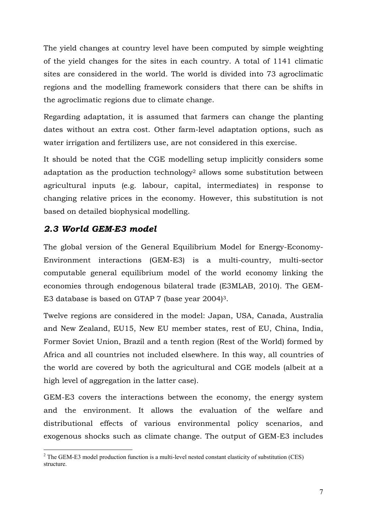The yield changes at country level have been computed by simple weighting of the yield changes for the sites in each country. A total of 1141 climatic sites are considered in the world. The world is divided into 73 agroclimatic regions and the modelling framework considers that there can be shifts in the agroclimatic regions due to climate change.

Regarding adaptation, it is assumed that farmers can change the planting dates without an extra cost. Other farm-level adaptation options, such as water irrigation and fertilizers use, are not considered in this exercise.

It should be noted that the CGE modelling setup implicitly considers some adaptation as the production technology<sup>2</sup> allows some substitution between agricultural inputs (e.g. labour, capital, intermediates) in response to changing relative prices in the economy. However, this substitution is not based on detailed biophysical modelling.

### *2.3 World GEM-E3 model*

The global version of the General Equilibrium Model for Energy-Economy-Environment interactions (GEM-E3) is a multi-country, multi-sector computable general equilibrium model of the world economy linking the economies through endogenous bilateral trade (E3MLAB, 2010). The GEM-E3 database is based on GTAP 7 (base year 2004)3.

Twelve regions are considered in the model: Japan, USA, Canada, Australia and New Zealand, EU15, New EU member states, rest of EU, China, India, Former Soviet Union, Brazil and a tenth region (Rest of the World) formed by Africa and all countries not included elsewhere. In this way, all countries of the world are covered by both the agricultural and CGE models (albeit at a high level of aggregation in the latter case).

GEM-E3 covers the interactions between the economy, the energy system and the environment. It allows the evaluation of the welfare and distributional effects of various environmental policy scenarios, and exogenous shocks such as climate change. The output of GEM-E3 includes

<sup>1</sup>  $2$  The GEM-E3 model production function is a multi-level nested constant elasticity of substitution (CES) structure.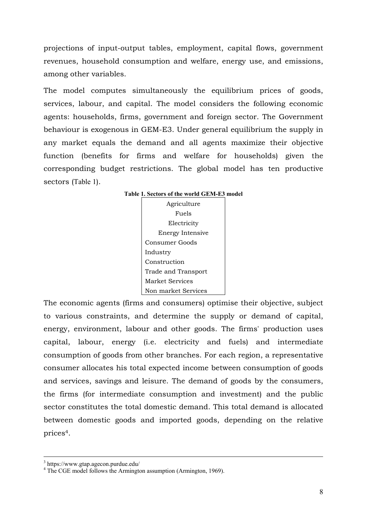projections of input-output tables, employment, capital flows, government revenues, household consumption and welfare, energy use, and emissions, among other variables.

The model computes simultaneously the equilibrium prices of goods, services, labour, and capital. The model considers the following economic agents: households, firms, government and foreign sector. The Government behaviour is exogenous in GEM-E3. Under general equilibrium the supply in any market equals the demand and all agents maximize their objective function (benefits for firms and welfare for households) given the corresponding budget restrictions. The global model has ten productive sectors (Table 1).

| Table 1. Sectors of the world GEM-E3 model |  |
|--------------------------------------------|--|
| Agriculture                                |  |
| Fuels                                      |  |
| Electricity                                |  |
| Energy Intensive                           |  |
| Consumer Goods                             |  |
| Industry                                   |  |
| Construction                               |  |
| Trade and Transport                        |  |
| Market Services                            |  |
| Non market Services                        |  |

# The economic agents (firms and consumers) optimise their objective, subject to various constraints, and determine the supply or demand of capital, energy, environment, labour and other goods. The firms' production uses capital, labour, energy (i.e. electricity and fuels) and intermediate consumption of goods from other branches. For each region, a representative consumer allocates his total expected income between consumption of goods and services, savings and leisure. The demand of goods by the consumers, the firms (for intermediate consumption and investment) and the public sector constitutes the total domestic demand. This total demand is allocated between domestic goods and imported goods, depending on the relative prices4.

 $\frac{1}{3}$ https://www.gtap.agecon.purdue.edu/

<sup>&</sup>lt;sup>4</sup> The CGE model follows the Armington assumption (Armington, 1969).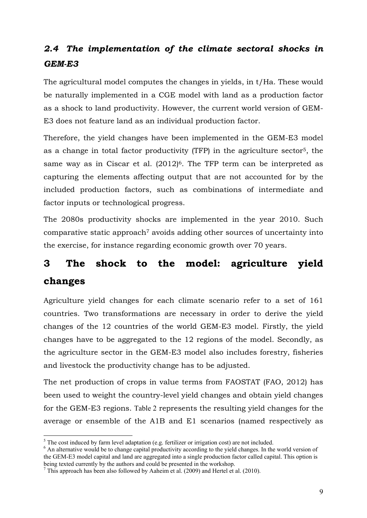# *2.4 The implementation of the climate sectoral shocks in GEM-E3*

The agricultural model computes the changes in yields, in t/Ha. These would be naturally implemented in a CGE model with land as a production factor as a shock to land productivity. However, the current world version of GEM-E3 does not feature land as an individual production factor.

Therefore, the yield changes have been implemented in the GEM-E3 model as a change in total factor productivity (TFP) in the agriculture sector5, the same way as in Ciscar et al.  $(2012)^6$ . The TFP term can be interpreted as capturing the elements affecting output that are not accounted for by the included production factors, such as combinations of intermediate and factor inputs or technological progress.

The 2080s productivity shocks are implemented in the year 2010. Such  $\epsilon$  comparative static approach<sup>7</sup> avoids adding other sources of uncertainty into the exercise, for instance regarding economic growth over 70 years.

# **3 The shock to the model: agriculture yield changes**

Agriculture yield changes for each climate scenario refer to a set of 161 countries. Two transformations are necessary in order to derive the yield changes of the 12 countries of the world GEM-E3 model. Firstly, the yield changes have to be aggregated to the 12 regions of the model. Secondly, as the agriculture sector in the GEM-E3 model also includes forestry, fisheries and livestock the productivity change has to be adjusted.

The net production of crops in value terms from FAOSTAT (FAO, 2012) has been used to weight the country-level yield changes and obtain yield changes for the GEM-E3 regions. Table 2 represents the resulting yield changes for the average or ensemble of the A1B and E1 scenarios (named respectively as

The cost induced by farm level adaptation (e.g. fertilizer or irrigation cost) are not included.

<sup>&</sup>lt;sup>6</sup> An alternative would be to change capital productivity according to the yield changes. In the world version of the GEM-E3 model capital and land are aggregated into a single production factor called capital. This option is being texted currently by the authors and could be presented in the workshop.

 $^7$  This approach has been also followed by Aaheim et al. (2009) and Hertel et al. (2010).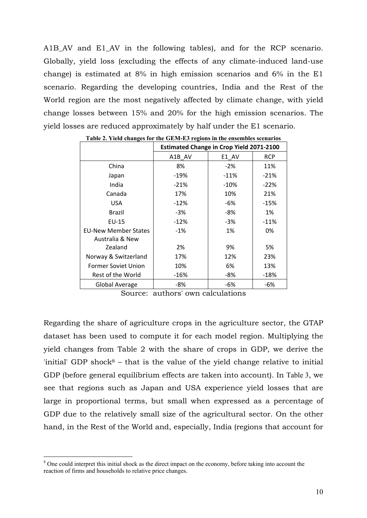A1B\_AV and E1\_AV in the following tables), and for the RCP scenario. Globally, yield loss (excluding the effects of any climate-induced land-use change) is estimated at 8% in high emission scenarios and 6% in the E1 scenario. Regarding the developing countries, India and the Rest of the World region are the most negatively affected by climate change, with yield change losses between 15% and 20% for the high emission scenarios. The yield losses are reduced approximately by half under the E1 scenario.

|                             | <b>Estimated Change in Crop Yield 2071-2100</b> |        |            |  |  |
|-----------------------------|-------------------------------------------------|--------|------------|--|--|
|                             | A1B AV                                          | E1 AV  | <b>RCP</b> |  |  |
| China                       | 8%                                              | $-2%$  | 11%        |  |  |
| Japan                       | $-19%$                                          | $-11%$ | $-21%$     |  |  |
| India                       | $-21%$                                          | $-10%$ | $-22%$     |  |  |
| Canada                      | 17%                                             | 10%    | 21%        |  |  |
| <b>USA</b>                  | $-12%$                                          | -6%    | $-15%$     |  |  |
| <b>Brazil</b>               | -3%                                             | -8%    | 1%         |  |  |
| $EU-15$                     | $-12%$                                          | -3%    | $-11%$     |  |  |
| <b>EU-New Member States</b> | $-1\%$                                          | 1%     | 0%         |  |  |
| Australia & New             |                                                 |        |            |  |  |
| Zealand                     | 2%                                              | 9%     | 5%         |  |  |
| Norway & Switzerland        | 17%                                             | 12%    | 23%        |  |  |
| Former Soviet Union         | 10%                                             | 6%     | 13%        |  |  |
| Rest of the World           | $-16%$                                          | -8%    | $-18%$     |  |  |
| Global Average              | -8%                                             | -6%    | -6%        |  |  |

**Table 2. Yield changes for the GEM-E3 regions in the ensembles scenarios**

Source: authors' own calculations

Regarding the share of agriculture crops in the agriculture sector, the GTAP dataset has been used to compute it for each model region. Multiplying the yield changes from Table 2 with the share of crops in GDP, we derive the 'initial' GDP shock $8$  – that is the value of the yield change relative to initial GDP (before general equilibrium effects are taken into account). In Table 3, we see that regions such as Japan and USA experience yield losses that are large in proportional terms, but small when expressed as a percentage of GDP due to the relatively small size of the agricultural sector. On the other hand, in the Rest of the World and, especially, India (regions that account for

<sup>&</sup>lt;sup>8</sup> One could interpret this initial shock as the direct impact on the economy, before taking into account the reaction of firms and households to relative price changes.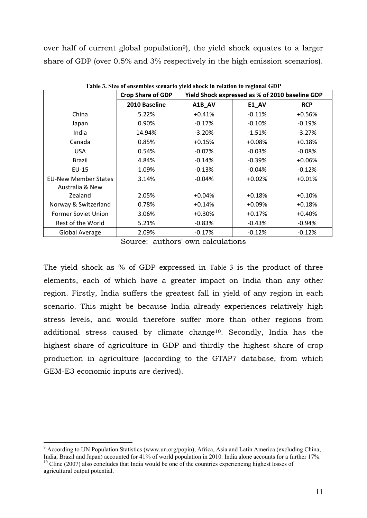over half of current global population<sup>9</sup>), the yield shock equates to a larger share of GDP (over 0.5% and 3% respectively in the high emission scenarios).

|                             | <b>Crop Share of GDP</b> |           | Yield Shock expressed as % of 2010 baseline GDP |            |
|-----------------------------|--------------------------|-----------|-------------------------------------------------|------------|
|                             | 2010 Baseline            | A1B_AV    | <b>E1_AV</b>                                    | <b>RCP</b> |
| China                       | 5.22%                    | $+0.41%$  | $-0.11%$                                        | $+0.56%$   |
| Japan                       | 0.90%                    | $-0.17%$  | $-0.10%$                                        | $-0.19%$   |
| India                       | 14.94%                   | $-3.20%$  | $-1.51%$                                        | $-3.27%$   |
| Canada                      | 0.85%                    | $+0.15%$  | $+0.08%$                                        | $+0.18%$   |
| USA.                        | 0.54%                    | $-0.07\%$ | $-0.03%$                                        | $-0.08\%$  |
| <b>Brazil</b>               | 4.84%                    | $-0.14%$  | $-0.39%$                                        | +0.06%     |
| $EU-15$                     | 1.09%                    | $-0.13%$  | $-0.04%$                                        | $-0.12%$   |
| <b>EU-New Member States</b> | 3.14%                    | $-0.04%$  | $+0.02%$                                        | $+0.01%$   |
| Australia & New             |                          |           |                                                 |            |
| Zealand                     | 2.05%                    | $+0.04%$  | $+0.18%$                                        | $+0.10%$   |
| Norway & Switzerland        | 0.78%                    | $+0.14%$  | $+0.09%$                                        | $+0.18%$   |
| Former Soviet Union         | 3.06%                    | $+0.30%$  | $+0.17%$                                        | $+0.40%$   |
| Rest of the World           | 5.21%                    | $-0.83%$  | $-0.43%$                                        | $-0.94\%$  |
| <b>Global Average</b>       | 2.09%                    | $-0.17%$  | $-0.12%$                                        | $-0.12%$   |

**Table 3. Size of ensembles scenario yield shock in relation to regional GDP**

Source: authors' own calculations

The yield shock as % of GDP expressed in Table 3 is the product of three elements, each of which have a greater impact on India than any other region. Firstly, India suffers the greatest fall in yield of any region in each scenario. This might be because India already experiences relatively high stress levels, and would therefore suffer more than other regions from additional stress caused by climate change10. Secondly, India has the highest share of agriculture in GDP and thirdly the highest share of crop production in agriculture (according to the GTAP7 database, from which GEM-E3 economic inputs are derived).

<sup>&</sup>lt;sup>9</sup> According to UN Population Statistics (www.un.org/popin), Africa, Asia and Latin America (excluding China, India, Brazil and Japan) accounted for 41% of world population in 2010. India alone accounts for a further 17%.  $10$  Cline (2007) also concludes that India would be one of the countries experiencing highest losses of agricultural output potential.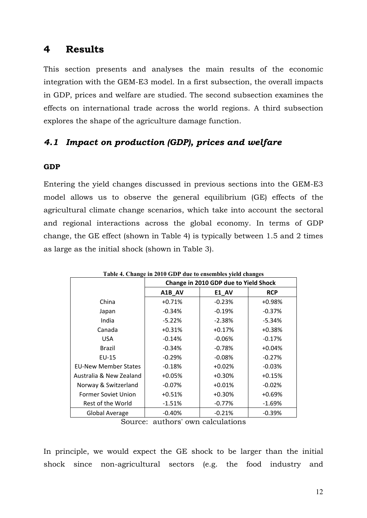## **4 Results**

This section presents and analyses the main results of the economic integration with the GEM-E3 model. In a first subsection, the overall impacts in GDP, prices and welfare are studied. The second subsection examines the effects on international trade across the world regions. A third subsection explores the shape of the agriculture damage function.

## *4.1 Impact on production (GDP), prices and welfare*

#### **GDP**

Entering the yield changes discussed in previous sections into the GEM-E3 model allows us to observe the general equilibrium (GE) effects of the agricultural climate change scenarios, which take into account the sectoral and regional interactions across the global economy. In terms of GDP change, the GE effect (shown in Table 4) is typically between 1.5 and 2 times as large as the initial shock (shown in Table 3).

| Table 4. Change in 2010 GDP due to ensembles yield changes |                                       |              |            |  |  |  |  |
|------------------------------------------------------------|---------------------------------------|--------------|------------|--|--|--|--|
|                                                            | Change in 2010 GDP due to Yield Shock |              |            |  |  |  |  |
|                                                            | A1B_AV                                | <b>E1_AV</b> | <b>RCP</b> |  |  |  |  |
| China                                                      | $+0.71%$                              | $-0.23%$     | $+0.98%$   |  |  |  |  |
| Japan                                                      | $-0.34%$                              | $-0.19%$     | $-0.37%$   |  |  |  |  |
| India                                                      | $-5.22%$                              | $-2.38%$     | $-5.34%$   |  |  |  |  |
| Canada                                                     | $+0.31%$                              | $+0.17%$     | $+0.38%$   |  |  |  |  |
| <b>USA</b>                                                 | $-0.14%$                              | $-0.06%$     | $-0.17%$   |  |  |  |  |
| Brazil                                                     | $-0.34%$                              | $-0.78%$     | $+0.04%$   |  |  |  |  |
| EU-15                                                      | $-0.29%$                              | $-0.08%$     | $-0.27%$   |  |  |  |  |
| <b>EU-New Member States</b>                                | $-0.18%$                              | $+0.02%$     | $-0.03%$   |  |  |  |  |
| Australia & New Zealand                                    | $+0.05%$                              | $+0.30%$     | $+0.15%$   |  |  |  |  |
| Norway & Switzerland                                       | $-0.07%$                              | $+0.01%$     | $-0.02%$   |  |  |  |  |
| <b>Former Soviet Union</b>                                 | $+0.51%$                              | $+0.30%$     | $+0.69%$   |  |  |  |  |
| Rest of the World                                          | $-1.51%$                              | $-0.77%$     | $-1.69%$   |  |  |  |  |
| <b>Global Average</b>                                      | $-0.40%$                              | $-0.21%$     | $-0.39%$   |  |  |  |  |

**Table 4. Change in 2010 GDP due to ensembles yield changes**

Source: authors' own calculations

In principle, we would expect the GE shock to be larger than the initial shock since non-agricultural sectors (e.g. the food industry and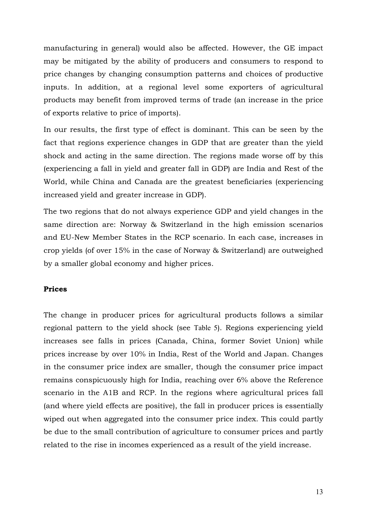manufacturing in general) would also be affected. However, the GE impact may be mitigated by the ability of producers and consumers to respond to price changes by changing consumption patterns and choices of productive inputs. In addition, at a regional level some exporters of agricultural products may benefit from improved terms of trade (an increase in the price of exports relative to price of imports).

In our results, the first type of effect is dominant. This can be seen by the fact that regions experience changes in GDP that are greater than the yield shock and acting in the same direction. The regions made worse off by this (experiencing a fall in yield and greater fall in GDP) are India and Rest of the World, while China and Canada are the greatest beneficiaries (experiencing increased yield and greater increase in GDP).

The two regions that do not always experience GDP and yield changes in the same direction are: Norway & Switzerland in the high emission scenarios and EU-New Member States in the RCP scenario. In each case, increases in crop yields (of over 15% in the case of Norway & Switzerland) are outweighed by a smaller global economy and higher prices.

#### **Prices**

The change in producer prices for agricultural products follows a similar regional pattern to the yield shock (see Table 5). Regions experiencing yield increases see falls in prices (Canada, China, former Soviet Union) while prices increase by over 10% in India, Rest of the World and Japan. Changes in the consumer price index are smaller, though the consumer price impact remains conspicuously high for India, reaching over 6% above the Reference scenario in the A1B and RCP. In the regions where agricultural prices fall (and where yield effects are positive), the fall in producer prices is essentially wiped out when aggregated into the consumer price index. This could partly be due to the small contribution of agriculture to consumer prices and partly related to the rise in incomes experienced as a result of the yield increase.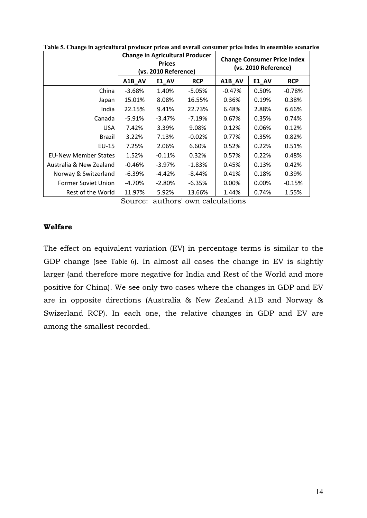|                             | <b>Change in Agricultural Producer</b><br><b>Prices</b><br>(vs. 2010 Reference) |           | <b>Change Consumer Price Index</b><br>(vs. 2010 Reference) |          |          |            |
|-----------------------------|---------------------------------------------------------------------------------|-----------|------------------------------------------------------------|----------|----------|------------|
|                             | A1B AV                                                                          | E1 AV     | <b>RCP</b>                                                 | A1B_AV   | E1_AV    | <b>RCP</b> |
| China                       | $-3.68%$                                                                        | 1.40%     | $-5.05%$                                                   | $-0.47%$ | 0.50%    | $-0.78%$   |
| Japan                       | 15.01%                                                                          | 8.08%     | 16.55%                                                     | 0.36%    | 0.19%    | 0.38%      |
| India                       | 22.15%                                                                          | 9.41%     | 22.73%                                                     | 6.48%    | 2.88%    | 6.66%      |
| Canada                      | -5.91%                                                                          | $-3.47\%$ | $-7.19%$                                                   | 0.67%    | 0.35%    | 0.74%      |
| <b>USA</b>                  | 7.42%                                                                           | 3.39%     | 9.08%                                                      | 0.12%    | 0.06%    | 0.12%      |
| Brazil                      | 3.22%                                                                           | 7.13%     | $-0.02%$                                                   | 0.77%    | 0.35%    | 0.82%      |
| EU-15                       | 7.25%                                                                           | 2.06%     | 6.60%                                                      | 0.52%    | 0.22%    | 0.51%      |
| <b>EU-New Member States</b> | 1.52%                                                                           | $-0.11%$  | 0.32%                                                      | 0.57%    | 0.22%    | 0.48%      |
| Australia & New Zealand     | $-0.46%$                                                                        | $-3.97%$  | $-1.83%$                                                   | 0.45%    | 0.13%    | 0.42%      |
| Norway & Switzerland        | -6.39%                                                                          | $-4.42%$  | -8.44%                                                     | 0.41%    | 0.18%    | 0.39%      |
| <b>Former Soviet Union</b>  | $-4.70%$                                                                        | $-2.80\%$ | $-6.35%$                                                   | 0.00%    | $0.00\%$ | $-0.15%$   |
| Rest of the World           | 11.97%                                                                          | 5.92%     | 13.66%                                                     | 1.44%    | 0.74%    | 1.55%      |

**Table 5. Change in agricultural producer prices and overall consumer price index in ensembles scenarios**

Source: authors' own calculations

#### **Welfare**

The effect on equivalent variation (EV) in percentage terms is similar to the GDP change (see Table 6). In almost all cases the change in EV is slightly larger (and therefore more negative for India and Rest of the World and more positive for China). We see only two cases where the changes in GDP and EV are in opposite directions (Australia & New Zealand A1B and Norway & Swizerland RCP). In each one, the relative changes in GDP and EV are among the smallest recorded.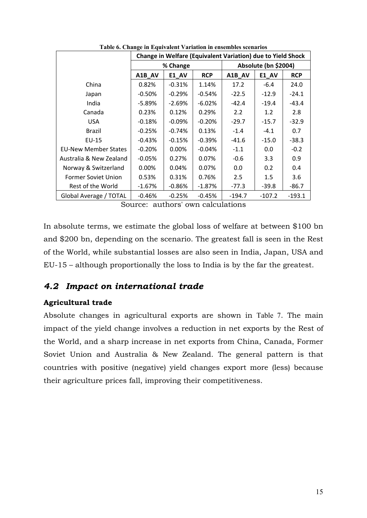|                             | Change in Welfare (Equivalent Variation) due to Yield Shock |          |            |          |                      |            |  |
|-----------------------------|-------------------------------------------------------------|----------|------------|----------|----------------------|------------|--|
|                             |                                                             | % Change |            |          | Absolute (bn \$2004) |            |  |
|                             | A1B_AV                                                      | E1_AV    | <b>RCP</b> | A1B AV   | E1 AV                | <b>RCP</b> |  |
| China                       | 0.82%                                                       | $-0.31%$ | 1.14%      | 17.2     | $-6.4$               | 24.0       |  |
| Japan                       | $-0.50\%$                                                   | $-0.29%$ | $-0.54%$   | $-22.5$  | $-12.9$              | $-24.1$    |  |
| India                       | $-5.89\%$                                                   | $-2.69%$ | $-6.02%$   | $-42.4$  | $-19.4$              | -43.4      |  |
| Canada                      | 0.23%                                                       | 0.12%    | 0.29%      | 2.2      | 1.2                  | 2.8        |  |
| <b>USA</b>                  | $-0.18\%$                                                   | $-0.09%$ | $-0.20%$   | $-29.7$  | $-15.7$              | $-32.9$    |  |
| Brazil                      | $-0.25%$                                                    | $-0.74%$ | 0.13%      | $-1.4$   | $-4.1$               | 0.7        |  |
| $EU-15$                     | $-0.43%$                                                    | $-0.15%$ | $-0.39%$   | $-41.6$  | $-15.0$              | $-38.3$    |  |
| <b>EU-New Member States</b> | $-0.20%$                                                    | 0.00%    | $-0.04%$   | $-1.1$   | 0.0                  | $-0.2$     |  |
| Australia & New Zealand     | $-0.05%$                                                    | 0.27%    | 0.07%      | $-0.6$   | 3.3                  | 0.9        |  |
| Norway & Switzerland        | $0.00\%$                                                    | 0.04%    | 0.07%      | 0.0      | 0.2                  | 0.4        |  |
| <b>Former Soviet Union</b>  | 0.53%                                                       | 0.31%    | 0.76%      | 2.5      | 1.5                  | 3.6        |  |
| Rest of the World           | $-1.67%$                                                    | $-0.86%$ | $-1.87\%$  | $-77.3$  | $-39.8$              | $-86.7$    |  |
| Global Average / TOTAL      | $-0.46%$                                                    | $-0.25%$ | $-0.45%$   | $-194.7$ | $-107.2$             | $-193.1$   |  |

**Table 6. Change in Equivalent Variation in ensembles scenarios**

Source: authors' own calculations

In absolute terms, we estimate the global loss of welfare at between \$100 bn and \$200 bn, depending on the scenario. The greatest fall is seen in the Rest of the World, while substantial losses are also seen in India, Japan, USA and EU-15 – although proportionally the loss to India is by the far the greatest.

### *4.2 Impact on international trade*

#### **Agricultural trade**

Absolute changes in agricultural exports are shown in Table 7. The main impact of the yield change involves a reduction in net exports by the Rest of the World, and a sharp increase in net exports from China, Canada, Former Soviet Union and Australia & New Zealand. The general pattern is that countries with positive (negative) yield changes export more (less) because their agriculture prices fall, improving their competitiveness.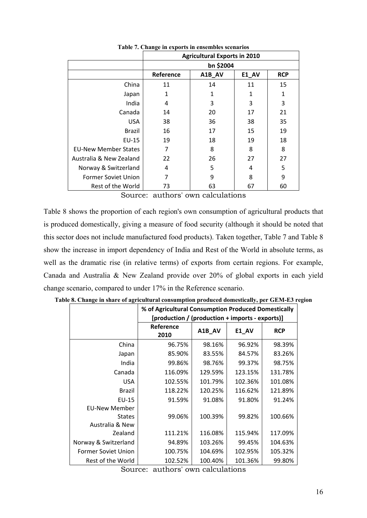|                             | <b>Agricultural Exports in 2010</b> |                               |    |    |  |  |  |  |
|-----------------------------|-------------------------------------|-------------------------------|----|----|--|--|--|--|
|                             |                                     | bn \$2004                     |    |    |  |  |  |  |
|                             | Reference                           | A1B_AV<br>E1 AV<br><b>RCP</b> |    |    |  |  |  |  |
| China                       | 11                                  | 14                            | 11 | 15 |  |  |  |  |
| Japan                       | 1                                   | 1                             | 1  | 1  |  |  |  |  |
| India                       | 4                                   | 3                             | 3  | 3  |  |  |  |  |
| Canada                      | 14                                  | 20                            | 17 | 21 |  |  |  |  |
| <b>USA</b>                  | 38                                  | 36                            | 38 | 35 |  |  |  |  |
| <b>Brazil</b>               | 16                                  | 17                            | 15 | 19 |  |  |  |  |
| EU-15                       | 19                                  | 18                            | 19 | 18 |  |  |  |  |
| <b>EU-New Member States</b> | 7                                   | 8                             | 8  | 8  |  |  |  |  |
| Australia & New Zealand     | 22                                  | 26                            | 27 | 27 |  |  |  |  |
| Norway & Switzerland        | 4                                   | 5                             | 4  | 5  |  |  |  |  |
| <b>Former Soviet Union</b>  | 7                                   | 9                             | 8  | 9  |  |  |  |  |
| Rest of the World           | 73                                  | 63                            | 67 | 60 |  |  |  |  |

**Table 7. Change in exports in ensembles scenarios**

Source: authors' own calculations

Table 8 shows the proportion of each region's own consumption of agricultural products that is produced domestically, giving a measure of food security (although it should be noted that this sector does not include manufactured food products). Taken together, Table 7 and Table 8 show the increase in import dependency of India and Rest of the World in absolute terms, as well as the dramatic rise (in relative terms) of exports from certain regions. For example, Canada and Australia & New Zealand provide over 20% of global exports in each yield change scenario, compared to under 17% in the Reference scenario.

|                            | o or Agricultural Consumption Produced Domestically |         |         |            |  |  |  |  |
|----------------------------|-----------------------------------------------------|---------|---------|------------|--|--|--|--|
|                            | [production / (production + imports - exports)]     |         |         |            |  |  |  |  |
|                            | Reference<br>2010                                   | A1B_AV  | E1_AV   | <b>RCP</b> |  |  |  |  |
| China                      | 96.75%                                              | 98.16%  | 96.92%  | 98.39%     |  |  |  |  |
| Japan                      | 85.90%                                              | 83.55%  | 84.57%  | 83.26%     |  |  |  |  |
| India                      | 99.86%                                              | 98.76%  | 99.37%  | 98.75%     |  |  |  |  |
| Canada                     | 116.09%                                             | 129.59% | 123.15% | 131.78%    |  |  |  |  |
| <b>USA</b>                 | 102.55%                                             | 101.79% | 102.36% | 101.08%    |  |  |  |  |
| <b>Brazil</b>              | 118.22%                                             | 120.25% | 116.62% | 121.89%    |  |  |  |  |
| $EU-15$                    | 91.59%                                              | 91.08%  | 91.80%  | 91.24%     |  |  |  |  |
| <b>EU-New Member</b>       |                                                     |         |         |            |  |  |  |  |
| <b>States</b>              | 99.06%                                              | 100.39% | 99.82%  | 100.66%    |  |  |  |  |
| Australia & New            |                                                     |         |         |            |  |  |  |  |
| Zealand                    | 111.21%                                             | 116.08% | 115.94% | 117.09%    |  |  |  |  |
| Norway & Switzerland       | 94.89%                                              | 103.26% | 99.45%  | 104.63%    |  |  |  |  |
| <b>Former Soviet Union</b> | 100.75%                                             | 104.69% | 102.95% | 105.32%    |  |  |  |  |
| Rest of the World          | 102.52%                                             | 100.40% | 101.36% | 99.80%     |  |  |  |  |

**Table 8. Change in share of agricultural consumption produced domestically, per GEM-E3 region % of Agricultural Consumption Produced Domestically** 

Source: authors' own calculations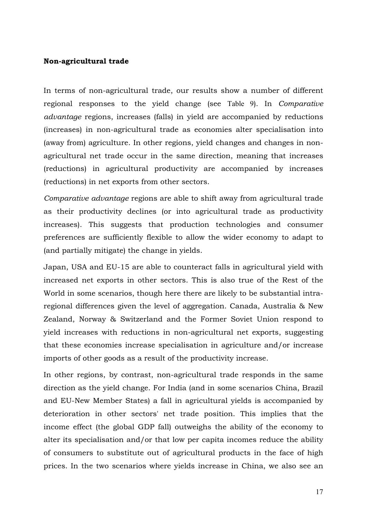#### **Non-agricultural trade**

In terms of non-agricultural trade, our results show a number of different regional responses to the yield change (see Table 9). In *Comparative advantage* regions, increases (falls) in yield are accompanied by reductions (increases) in non-agricultural trade as economies alter specialisation into (away from) agriculture. In other regions, yield changes and changes in nonagricultural net trade occur in the same direction, meaning that increases (reductions) in agricultural productivity are accompanied by increases (reductions) in net exports from other sectors.

*Comparative advantage* regions are able to shift away from agricultural trade as their productivity declines (or into agricultural trade as productivity increases). This suggests that production technologies and consumer preferences are sufficiently flexible to allow the wider economy to adapt to (and partially mitigate) the change in yields.

Japan, USA and EU-15 are able to counteract falls in agricultural yield with increased net exports in other sectors. This is also true of the Rest of the World in some scenarios, though here there are likely to be substantial intraregional differences given the level of aggregation. Canada, Australia & New Zealand, Norway & Switzerland and the Former Soviet Union respond to yield increases with reductions in non-agricultural net exports, suggesting that these economies increase specialisation in agriculture and/or increase imports of other goods as a result of the productivity increase.

In other regions, by contrast, non-agricultural trade responds in the same direction as the yield change. For India (and in some scenarios China, Brazil and EU-New Member States) a fall in agricultural yields is accompanied by deterioration in other sectors' net trade position. This implies that the income effect (the global GDP fall) outweighs the ability of the economy to alter its specialisation and/or that low per capita incomes reduce the ability of consumers to substitute out of agricultural products in the face of high prices. In the two scenarios where yields increase in China, we also see an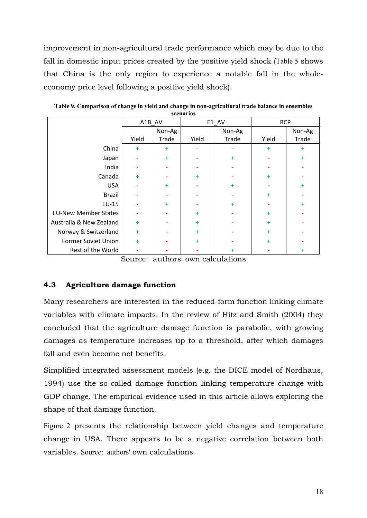improvement in non-agricultural trade performance which may be due to the fall in domestic input prices created by the positive yield shock (Table 5 shows that China is the only region to experience a notable fall in the wholeeconomy price level following a positive yield shock).

|                             |       | A1B AV<br>E1 AV |           | <b>RCP</b> |           |           |
|-----------------------------|-------|-----------------|-----------|------------|-----------|-----------|
|                             |       | Non-Ag          |           | Non-Ag     |           | Non-Ag    |
|                             | Yield | Trade           | Yield     | Trade      | Yield     | Trade     |
| China                       | $+$   | $+$             |           |            | $+$       | $\ddot{}$ |
| Japan                       |       | $+$             |           | $+$        |           | ÷         |
| India                       |       |                 |           |            |           |           |
| Canada                      | $+$   |                 | $+$       |            | $\ddot{}$ |           |
| <b>USA</b>                  |       | $+$             |           | $+$        |           | ÷         |
| <b>Brazil</b>               |       |                 |           |            | $+$       |           |
| EU-15                       |       | $+$             |           | $+$        |           | ÷         |
| <b>EU-New Member States</b> |       |                 | $+$       |            | $+$       |           |
| Australia & New Zealand     | $+$   |                 | $+$       |            | $\ddot{}$ |           |
| Norway & Switzerland        | $+$   |                 | $+$       |            | $\ddot{}$ |           |
| Former Soviet Union         | $+$   |                 | $\ddot{}$ |            | $\ddot{}$ |           |
| Rest of the World           |       |                 |           | $\ddot{}$  |           | $\ddot{}$ |

**Table 9. Comparison of change in yield and change in non-agricultural trade balance in ensembles scenarios**

Source: authors' own calculations

### **4.3 Agriculture damage function**

Many researchers are interested in the reduced-form function linking climate variables with climate impacts. In the review of Hitz and Smith (2004) they concluded that the agriculture damage function is parabolic, with growing damages as temperature increases up to a threshold, after which damages fall and even become net benefits.

Simplified integrated assessment models (e.g. the DICE model of Nordhaus, 1994) use the so-called damage function linking temperature change with GDP change. The empirical evidence used in this article allows exploring the shape of that damage function.

Figure 2 presents the relationship between yield changes and temperature change in USA. There appears to be a negative correlation between both variables. Source: authors' own calculations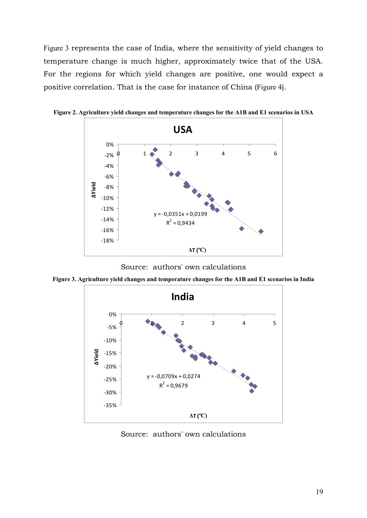Figure 3 represents the case of India, where the sensitivity of yield changes to temperature change is much higher, approximately twice that of the USA. For the regions for which yield changes are positive, one would expect a positive correlation. That is the case for instance of China (Figure 4).



**Figure 2. Agriculture yield changes and temperature changes for the A1B and E1 scenarios in USA** 

Source: authors' own calculations

**Figure 3. Agriculture yield changes and temperature changes for the A1B and E1 scenarios in India**



Source: authors' own calculations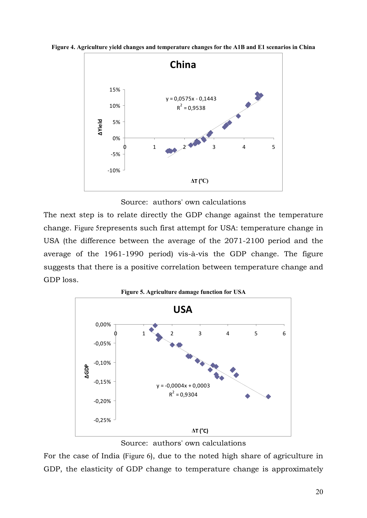



Source: authors' own calculations

The next step is to relate directly the GDP change against the temperature change. Figure 5represents such first attempt for USA: temperature change in USA (the difference between the average of the 2071-2100 period and the average of the 1961-1990 period) vis-à-vis the GDP change. The figure suggests that there is a positive correlation between temperature change and GDP loss.



Source: authors' own calculations

For the case of India (Figure 6), due to the noted high share of agriculture in GDP, the elasticity of GDP change to temperature change is approximately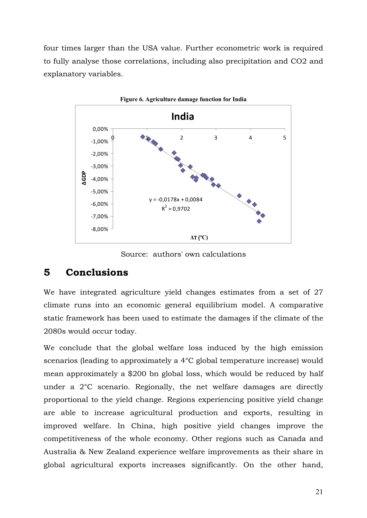four times larger than the USA value. Further econometric work is required to fully analyse those correlations, including also precipitation and CO2 and explanatory variables.



Source: authors' own calculations

## **5 Conclusions**

We have integrated agriculture yield changes estimates from a set of 27 climate runs into an economic general equilibrium model. A comparative static framework has been used to estimate the damages if the climate of the 2080s would occur today.

We conclude that the global welfare loss induced by the high emission scenarios (leading to approximately a 4°C global temperature increase) would mean approximately a \$200 bn global loss, which would be reduced by half under a 2°C scenario. Regionally, the net welfare damages are directly proportional to the yield change. Regions experiencing positive yield change are able to increase agricultural production and exports, resulting in improved welfare. In China, high positive yield changes improve the competitiveness of the whole economy. Other regions such as Canada and Australia & New Zealand experience welfare improvements as their share in global agricultural exports increases significantly. On the other hand,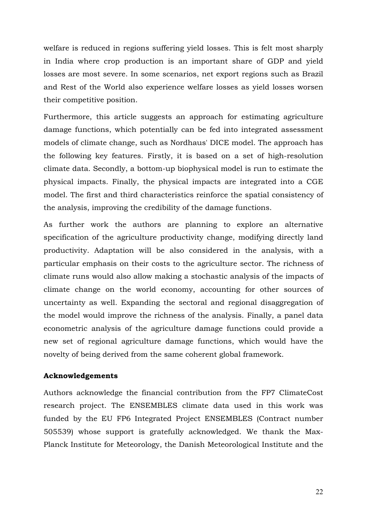welfare is reduced in regions suffering yield losses. This is felt most sharply in India where crop production is an important share of GDP and yield losses are most severe. In some scenarios, net export regions such as Brazil and Rest of the World also experience welfare losses as yield losses worsen their competitive position.

Furthermore, this article suggests an approach for estimating agriculture damage functions, which potentially can be fed into integrated assessment models of climate change, such as Nordhaus' DICE model. The approach has the following key features. Firstly, it is based on a set of high-resolution climate data. Secondly, a bottom-up biophysical model is run to estimate the physical impacts. Finally, the physical impacts are integrated into a CGE model. The first and third characteristics reinforce the spatial consistency of the analysis, improving the credibility of the damage functions.

As further work the authors are planning to explore an alternative specification of the agriculture productivity change, modifying directly land productivity. Adaptation will be also considered in the analysis, with a particular emphasis on their costs to the agriculture sector. The richness of climate runs would also allow making a stochastic analysis of the impacts of climate change on the world economy, accounting for other sources of uncertainty as well. Expanding the sectoral and regional disaggregation of the model would improve the richness of the analysis. Finally, a panel data econometric analysis of the agriculture damage functions could provide a new set of regional agriculture damage functions, which would have the novelty of being derived from the same coherent global framework.

#### **Acknowledgements**

Authors acknowledge the financial contribution from the FP7 ClimateCost research project. The ENSEMBLES climate data used in this work was funded by the EU FP6 Integrated Project ENSEMBLES (Contract number 505539) whose support is gratefully acknowledged. We thank the Max-Planck Institute for Meteorology, the Danish Meteorological Institute and the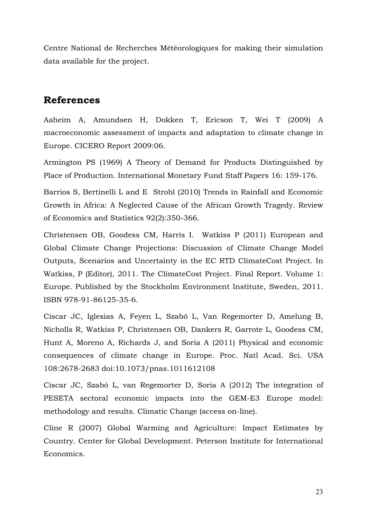Centre National de Recherches Météorologiques for making their simulation data available for the project.

### **References**

Aaheim A, Amundsen H, Dokken T, Ericson T, Wei T (2009) A macroeconomic assessment of impacts and adaptation to climate change in Europe. CICERO Report 2009:06.

Armington PS (1969) A Theory of Demand for Products Distinguished by Place of Production. International Monetary Fund Staff Papers 16: 159-176.

Barrios S, Bertinelli L and E Strobl (2010) Trends in Rainfall and Economic Growth in Africa: A Neglected Cause of the African Growth Tragedy. Review of Economics and Statistics 92(2):350-366.

Christensen OB, Goodess CM, Harris I. Watkiss P (2011) European and Global Climate Change Projections: Discussion of Climate Change Model Outputs, Scenarios and Uncertainty in the EC RTD ClimateCost Project. In Watkiss, P (Editor), 2011. The ClimateCost Project. Final Report. Volume 1: Europe. Published by the Stockholm Environment Institute, Sweden, 2011. ISBN 978-91-86125-35-6.

Ciscar JC, Iglesias A, Feyen L, Szabó L, Van Regemorter D, Amelung B, Nicholls R, Watkiss P, Christensen OB, Dankers R, Garrote L, Goodess CM, Hunt A, Moreno A, Richards J, and Soria A (2011) Physical and economic consequences of climate change in Europe. Proc. Natl Acad. Sci. USA 108:2678-2683 doi:10.1073/pnas.1011612108

Ciscar JC, Szabó L, van Regemorter D, Soria A (2012) The integration of PESETA sectoral economic impacts into the GEM-E3 Europe model: methodology and results. Climatic Change (access on-line).

Cline R (2007) Global Warming and Agriculture: Impact Estimates by Country. Center for Global Development. Peterson Institute for International Economics.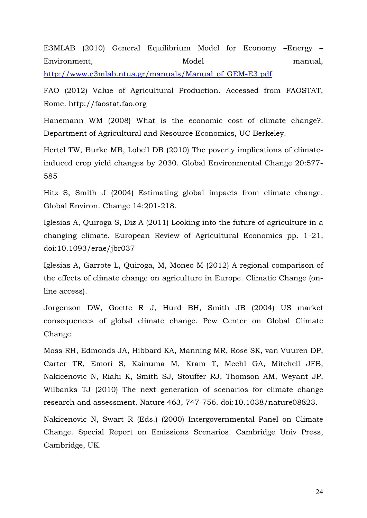E3MLAB (2010) General Equilibrium Model for Economy –Energy – Environment, Model Model manual, http://www.e3mlab.ntua.gr/manuals/Manual\_of\_GEM-E3.pdf

FAO (2012) Value of Agricultural Production. Accessed from FAOSTAT, Rome. http://faostat.fao.org

Hanemann WM (2008) What is the economic cost of climate change?. Department of Agricultural and Resource Economics, UC Berkeley.

Hertel TW, Burke MB, Lobell DB (2010) The poverty implications of climateinduced crop yield changes by 2030. Global Environmental Change 20:577- 585

Hitz S, Smith J (2004) Estimating global impacts from climate change. Global Environ. Change 14:201-218.

Iglesias A, Quiroga S, Diz A (2011) Looking into the future of agriculture in a changing climate. European Review of Agricultural Economics pp. 1–21, doi:10.1093/erae/jbr037

Iglesias A, Garrote L, Quiroga, M, Moneo M (2012) A regional comparison of the effects of climate change on agriculture in Europe. Climatic Change (online access).

Jorgenson DW, Goette R J, Hurd BH, Smith JB (2004) US market consequences of global climate change. Pew Center on Global Climate Change

Moss RH, Edmonds JA, Hibbard KA, Manning MR, Rose SK, van Vuuren DP, Carter TR, Emori S, Kainuma M, Kram T, Meehl GA, Mitchell JFB, Nakicenovic N, Riahi K, Smith SJ, Stouffer RJ, Thomson AM, Weyant JP, Wilbanks TJ (2010) The next generation of scenarios for climate change research and assessment. Nature 463, 747-756. doi:10.1038/nature08823.

Nakicenovic N, Swart R (Eds.) (2000) Intergovernmental Panel on Climate Change. Special Report on Emissions Scenarios. Cambridge Univ Press, Cambridge, UK.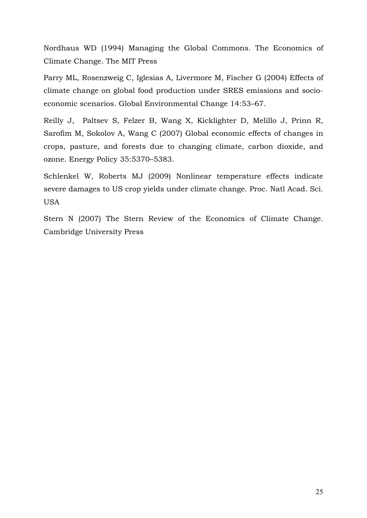Nordhaus WD (1994) Managing the Global Commons. The Economics of Climate Change. The MIT Press

Parry ML, Rosenzweig C, Iglesias A, Livermore M, Fischer G (2004) Effects of climate change on global food production under SRES emissions and socioeconomic scenarios. Global Environmental Change 14:53–67.

Reilly J, Paltsev S, Felzer B, Wang X, Kicklighter D, Melillo J, Prinn R, Sarofim M, Sokolov A, Wang C (2007) Global economic effects of changes in crops, pasture, and forests due to changing climate, carbon dioxide, and ozone. Energy Policy 35:5370–5383.

Schlenkel W, Roberts MJ (2009) Nonlinear temperature effects indicate severe damages to US crop yields under climate change. Proc. Natl Acad. Sci. USA

Stern N (2007) The Stern Review of the Economics of Climate Change. Cambridge University Press